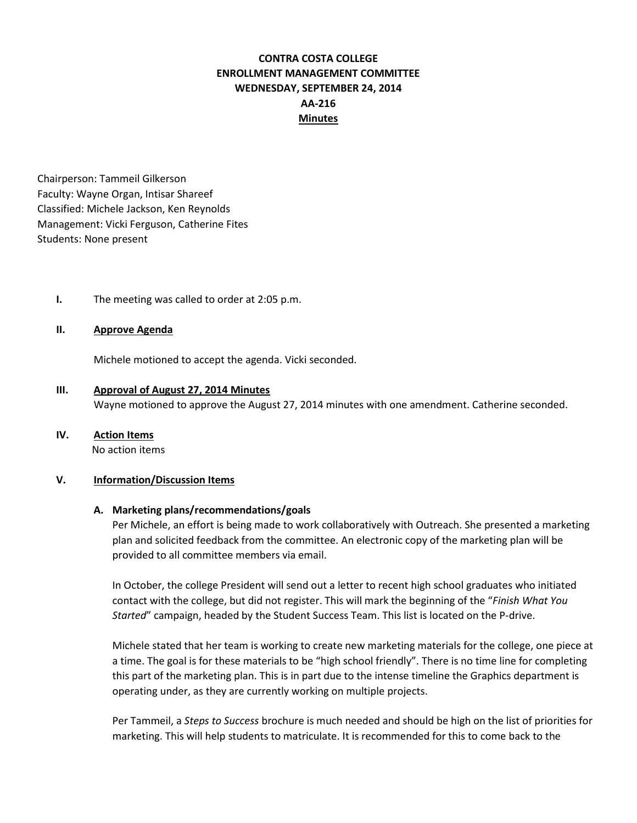# **CONTRA COSTA COLLEGE ENROLLMENT MANAGEMENT COMMITTEE WEDNESDAY, SEPTEMBER 24, 2014 AA-216 Minutes**

Chairperson: Tammeil Gilkerson Faculty: Wayne Organ, Intisar Shareef Classified: Michele Jackson, Ken Reynolds Management: Vicki Ferguson, Catherine Fites Students: None present

**I.** The meeting was called to order at 2:05 p.m.

### **II. Approve Agenda**

Michele motioned to accept the agenda. Vicki seconded.

**III. Approval of August 27, 2014 Minutes**  Wayne motioned to approve the August 27, 2014 minutes with one amendment. Catherine seconded.

## **IV. Action Items**

No action items

#### **V. Information/Discussion Items**

#### **A. Marketing plans/recommendations/goals**

Per Michele, an effort is being made to work collaboratively with Outreach. She presented a marketing plan and solicited feedback from the committee. An electronic copy of the marketing plan will be provided to all committee members via email.

In October, the college President will send out a letter to recent high school graduates who initiated contact with the college, but did not register. This will mark the beginning of the "*Finish What You Started*" campaign, headed by the Student Success Team. This list is located on the P-drive.

Michele stated that her team is working to create new marketing materials for the college, one piece at a time. The goal is for these materials to be "high school friendly". There is no time line for completing this part of the marketing plan. This is in part due to the intense timeline the Graphics department is operating under, as they are currently working on multiple projects.

Per Tammeil, a *Steps to Success* brochure is much needed and should be high on the list of priorities for marketing. This will help students to matriculate. It is recommended for this to come back to the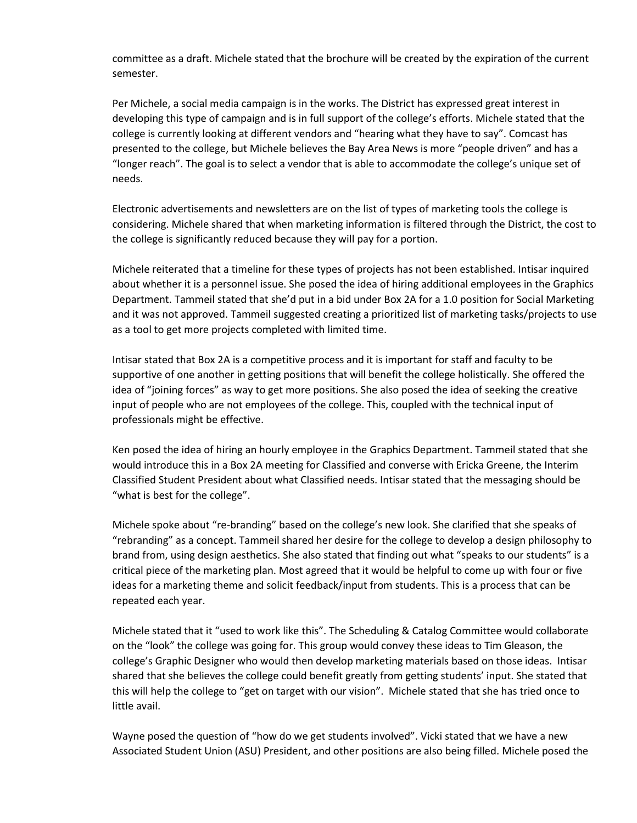committee as a draft. Michele stated that the brochure will be created by the expiration of the current semester.

Per Michele, a social media campaign is in the works. The District has expressed great interest in developing this type of campaign and is in full support of the college's efforts. Michele stated that the college is currently looking at different vendors and "hearing what they have to say". Comcast has presented to the college, but Michele believes the Bay Area News is more "people driven" and has a "longer reach". The goal is to select a vendor that is able to accommodate the college's unique set of needs.

Electronic advertisements and newsletters are on the list of types of marketing tools the college is considering. Michele shared that when marketing information is filtered through the District, the cost to the college is significantly reduced because they will pay for a portion.

Michele reiterated that a timeline for these types of projects has not been established. Intisar inquired about whether it is a personnel issue. She posed the idea of hiring additional employees in the Graphics Department. Tammeil stated that she'd put in a bid under Box 2A for a 1.0 position for Social Marketing and it was not approved. Tammeil suggested creating a prioritized list of marketing tasks/projects to use as a tool to get more projects completed with limited time.

Intisar stated that Box 2A is a competitive process and it is important for staff and faculty to be supportive of one another in getting positions that will benefit the college holistically. She offered the idea of "joining forces" as way to get more positions. She also posed the idea of seeking the creative input of people who are not employees of the college. This, coupled with the technical input of professionals might be effective.

Ken posed the idea of hiring an hourly employee in the Graphics Department. Tammeil stated that she would introduce this in a Box 2A meeting for Classified and converse with Ericka Greene, the Interim Classified Student President about what Classified needs. Intisar stated that the messaging should be "what is best for the college".

Michele spoke about "re-branding" based on the college's new look. She clarified that she speaks of "rebranding" as a concept. Tammeil shared her desire for the college to develop a design philosophy to brand from, using design aesthetics. She also stated that finding out what "speaks to our students" is a critical piece of the marketing plan. Most agreed that it would be helpful to come up with four or five ideas for a marketing theme and solicit feedback/input from students. This is a process that can be repeated each year.

Michele stated that it "used to work like this". The Scheduling & Catalog Committee would collaborate on the "look" the college was going for. This group would convey these ideas to Tim Gleason, the college's Graphic Designer who would then develop marketing materials based on those ideas. Intisar shared that she believes the college could benefit greatly from getting students' input. She stated that this will help the college to "get on target with our vision". Michele stated that she has tried once to little avail.

Wayne posed the question of "how do we get students involved". Vicki stated that we have a new Associated Student Union (ASU) President, and other positions are also being filled. Michele posed the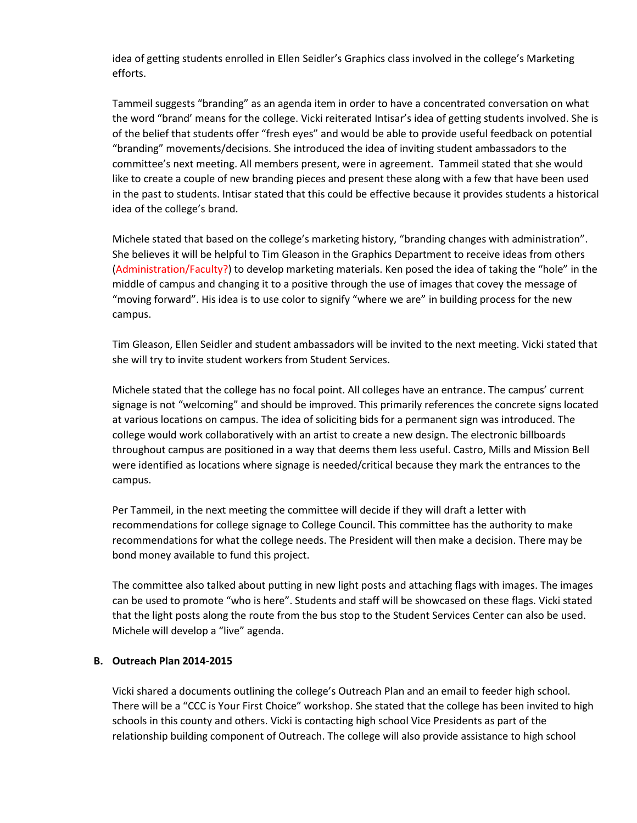idea of getting students enrolled in Ellen Seidler's Graphics class involved in the college's Marketing efforts.

Tammeil suggests "branding" as an agenda item in order to have a concentrated conversation on what the word "brand' means for the college. Vicki reiterated Intisar's idea of getting students involved. She is of the belief that students offer "fresh eyes" and would be able to provide useful feedback on potential "branding" movements/decisions. She introduced the idea of inviting student ambassadors to the committee's next meeting. All members present, were in agreement. Tammeil stated that she would like to create a couple of new branding pieces and present these along with a few that have been used in the past to students. Intisar stated that this could be effective because it provides students a historical idea of the college's brand.

Michele stated that based on the college's marketing history, "branding changes with administration". She believes it will be helpful to Tim Gleason in the Graphics Department to receive ideas from others (Administration/Faculty?) to develop marketing materials. Ken posed the idea of taking the "hole" in the middle of campus and changing it to a positive through the use of images that covey the message of "moving forward". His idea is to use color to signify "where we are" in building process for the new campus.

Tim Gleason, Ellen Seidler and student ambassadors will be invited to the next meeting. Vicki stated that she will try to invite student workers from Student Services.

Michele stated that the college has no focal point. All colleges have an entrance. The campus' current signage is not "welcoming" and should be improved. This primarily references the concrete signs located at various locations on campus. The idea of soliciting bids for a permanent sign was introduced. The college would work collaboratively with an artist to create a new design. The electronic billboards throughout campus are positioned in a way that deems them less useful. Castro, Mills and Mission Bell were identified as locations where signage is needed/critical because they mark the entrances to the campus.

Per Tammeil, in the next meeting the committee will decide if they will draft a letter with recommendations for college signage to College Council. This committee has the authority to make recommendations for what the college needs. The President will then make a decision. There may be bond money available to fund this project.

The committee also talked about putting in new light posts and attaching flags with images. The images can be used to promote "who is here". Students and staff will be showcased on these flags. Vicki stated that the light posts along the route from the bus stop to the Student Services Center can also be used. Michele will develop a "live" agenda.

## **B. Outreach Plan 2014-2015**

Vicki shared a documents outlining the college's Outreach Plan and an email to feeder high school. There will be a "CCC is Your First Choice" workshop. She stated that the college has been invited to high schools in this county and others. Vicki is contacting high school Vice Presidents as part of the relationship building component of Outreach. The college will also provide assistance to high school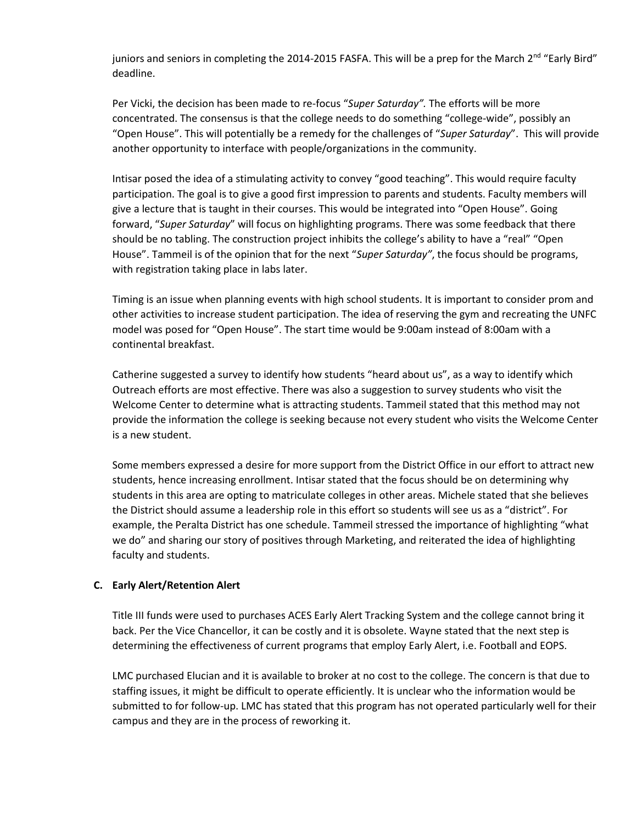juniors and seniors in completing the 2014-2015 FASFA. This will be a prep for the March 2<sup>nd</sup> "Early Bird" deadline.

Per Vicki, the decision has been made to re-focus "*Super Saturday".* The efforts will be more concentrated. The consensus is that the college needs to do something "college-wide", possibly an "Open House". This will potentially be a remedy for the challenges of "*Super Saturday*". This will provide another opportunity to interface with people/organizations in the community.

Intisar posed the idea of a stimulating activity to convey "good teaching". This would require faculty participation. The goal is to give a good first impression to parents and students. Faculty members will give a lecture that is taught in their courses. This would be integrated into "Open House". Going forward, "*Super Saturday*" will focus on highlighting programs. There was some feedback that there should be no tabling. The construction project inhibits the college's ability to have a "real" "Open House". Tammeil is of the opinion that for the next "*Super Saturday"*, the focus should be programs, with registration taking place in labs later.

Timing is an issue when planning events with high school students. It is important to consider prom and other activities to increase student participation. The idea of reserving the gym and recreating the UNFC model was posed for "Open House". The start time would be 9:00am instead of 8:00am with a continental breakfast.

Catherine suggested a survey to identify how students "heard about us", as a way to identify which Outreach efforts are most effective. There was also a suggestion to survey students who visit the Welcome Center to determine what is attracting students. Tammeil stated that this method may not provide the information the college is seeking because not every student who visits the Welcome Center is a new student.

Some members expressed a desire for more support from the District Office in our effort to attract new students, hence increasing enrollment. Intisar stated that the focus should be on determining why students in this area are opting to matriculate colleges in other areas. Michele stated that she believes the District should assume a leadership role in this effort so students will see us as a "district". For example, the Peralta District has one schedule. Tammeil stressed the importance of highlighting "what we do" and sharing our story of positives through Marketing, and reiterated the idea of highlighting faculty and students.

## **C. Early Alert/Retention Alert**

Title III funds were used to purchases ACES Early Alert Tracking System and the college cannot bring it back. Per the Vice Chancellor, it can be costly and it is obsolete. Wayne stated that the next step is determining the effectiveness of current programs that employ Early Alert, i.e. Football and EOPS.

LMC purchased Elucian and it is available to broker at no cost to the college. The concern is that due to staffing issues, it might be difficult to operate efficiently. It is unclear who the information would be submitted to for follow-up. LMC has stated that this program has not operated particularly well for their campus and they are in the process of reworking it.